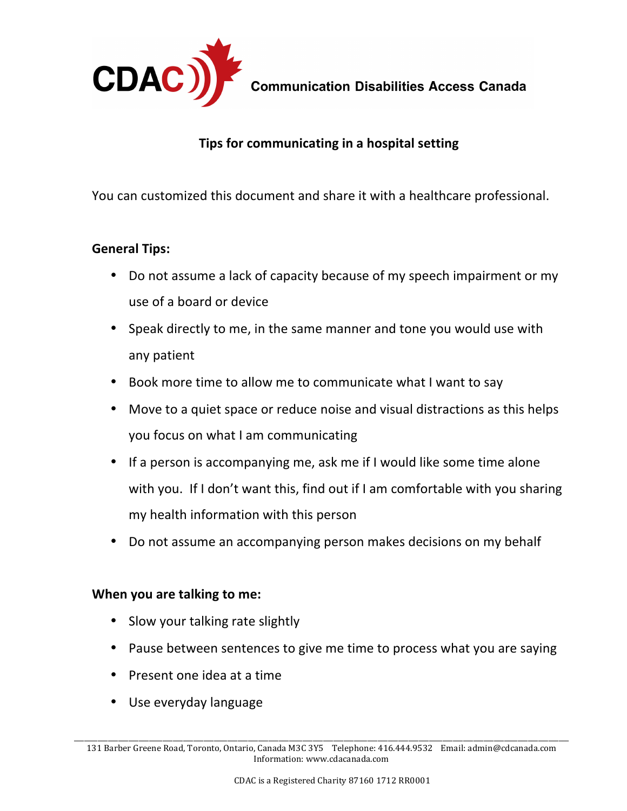

**Communication Disabilities Access Canada** 

## **Tips for communicating in a hospital setting**

You can customized this document and share it with a healthcare professional.

## **General Tips:**

- Do not assume a lack of capacity because of my speech impairment or my use of a board or device
- Speak directly to me, in the same manner and tone you would use with any patient
- Book more time to allow me to communicate what I want to say
- Move to a quiet space or reduce noise and visual distractions as this helps you focus on what I am communicating
- If a person is accompanying me, ask me if I would like some time alone with you. If I don't want this, find out if I am comfortable with you sharing my health information with this person
- Do not assume an accompanying person makes decisions on my behalf

## **When you are talking to me:**

- Slow your talking rate slightly
- Pause between sentences to give me time to process what you are saying
- Present one idea at a time
- Use everyday language

\_\_\_\_\_\_\_\_\_\_\_\_\_\_\_\_\_\_\_\_\_\_\_\_\_\_\_\_\_\_\_\_\_\_\_\_\_\_\_\_\_\_\_\_\_\_\_\_\_\_\_\_\_\_\_\_\_\_\_\_\_\_\_\_\_\_\_\_\_\_\_\_\_\_\_\_\_\_\_\_\_\_\_\_\_\_\_\_\_\_\_\_\_\_\_\_\_\_\_\_\_\_\_\_\_\_\_\_\_\_\_\_\_\_\_\_\_\_\_\_\_\_\_\_\_\_\_\_\_\_\_\_\_\_\_\_\_\_\_\_\_\_\_\_\_ 131 Barber Greene Road, Toronto, Ontario, Canada M3C 3Y5 Telephone: 416.444.9532 Email: admin@cdcanada.com Information: www.cdacanada.com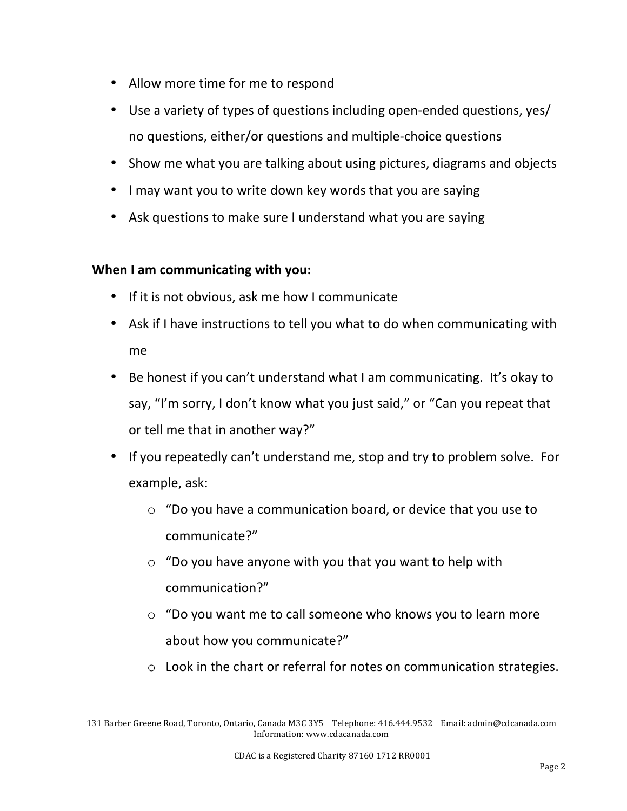- Allow more time for me to respond
- Use a variety of types of questions including open-ended questions, yes/ no questions, either/or questions and multiple-choice questions
- Show me what you are talking about using pictures, diagrams and objects
- I may want you to write down key words that you are saying
- Ask questions to make sure I understand what you are saying

## **When I am communicating with you:**

- If it is not obvious, ask me how I communicate
- Ask if I have instructions to tell you what to do when communicating with me
- Be honest if you can't understand what I am communicating. It's okay to say, "I'm sorry, I don't know what you just said," or "Can you repeat that or tell me that in another way?"
- If you repeatedly can't understand me, stop and try to problem solve. For example, ask:
	- $\circ$  "Do you have a communication board, or device that you use to communicate?"
	- $\circ$  "Do you have anyone with you that you want to help with communication?"
	- $\circ$  "Do you want me to call someone who knows you to learn more about how you communicate?"
	- $\circ$  Look in the chart or referral for notes on communication strategies.

\_\_\_\_\_\_\_\_\_\_\_\_\_\_\_\_\_\_\_\_\_\_\_\_\_\_\_\_\_\_\_\_\_\_\_\_\_\_\_\_\_\_\_\_\_\_\_\_\_\_\_\_\_\_\_\_\_\_\_\_\_\_\_\_\_\_\_\_\_\_\_\_\_\_\_\_\_\_\_\_\_\_\_\_\_\_\_\_\_\_\_\_\_\_\_\_\_\_\_\_\_\_\_\_\_\_\_\_\_\_\_\_\_\_\_\_\_\_\_\_\_\_\_\_\_\_\_\_\_\_\_\_\_\_\_\_\_\_\_\_\_\_\_\_\_ 131 Barber Greene Road, Toronto, Ontario, Canada M3C 3Y5 Telephone: 416.444.9532 Email: admin@cdcanada.com Information: www.cdacanada.com